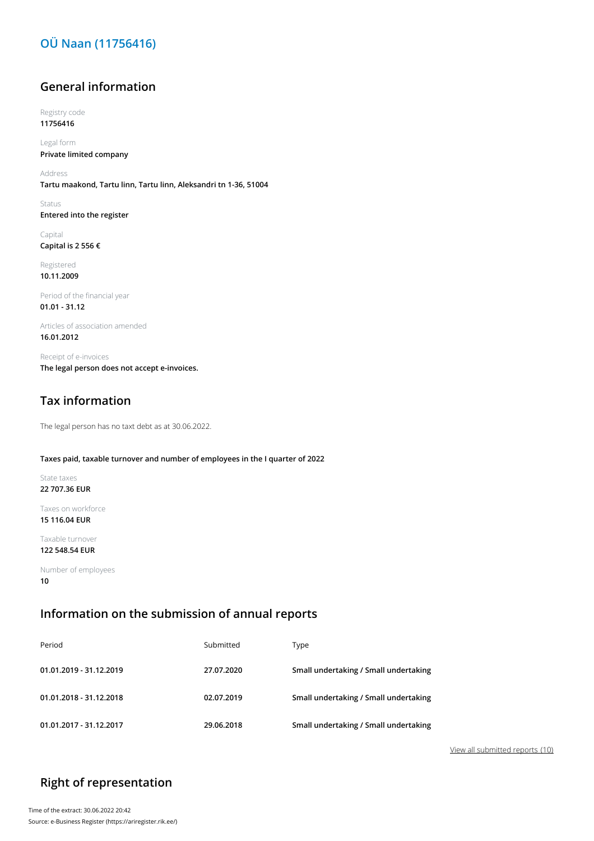## **OÜ Naan (11756416)**

### **General information**

Registry code **11756416**

Legal form **Private limited company**

Address **Tartu maakond, Tartu linn, Tartu linn, Aleksandri tn 1-36, 51004**

Status **Entered into the register**

Capital **Capital is 2 556 €**

Registered **10.11.2009**

Period of the financial year **01.01 - 31.12**

Articles of association amended **16.01.2012**

Receipt of e-invoices **The legal person does not accept e-invoices.**

## **Tax information**

The legal person has no taxt debt as at 30.06.2022.

#### **Taxes paid, taxable turnover and number of employees in the I quarter of 2022**

State taxes **22 707.36 EUR**

Taxes on workforce **15 116.04 EUR**

Taxable turnover **122 548.54 EUR**

Number of employees **10**

### **Information on the submission of annual reports**

| Period                  | Submitted  | Type                                  |
|-------------------------|------------|---------------------------------------|
| 01.01.2019 - 31.12.2019 | 27.07.2020 | Small undertaking / Small undertaking |
| 01.01.2018 - 31.12.2018 | 02.07.2019 | Small undertaking / Small undertaking |
| 01.01.2017 - 31.12.2017 | 29.06.2018 | Small undertaking / Small undertaking |

View all submitted reports (10)

# **Right of representation**